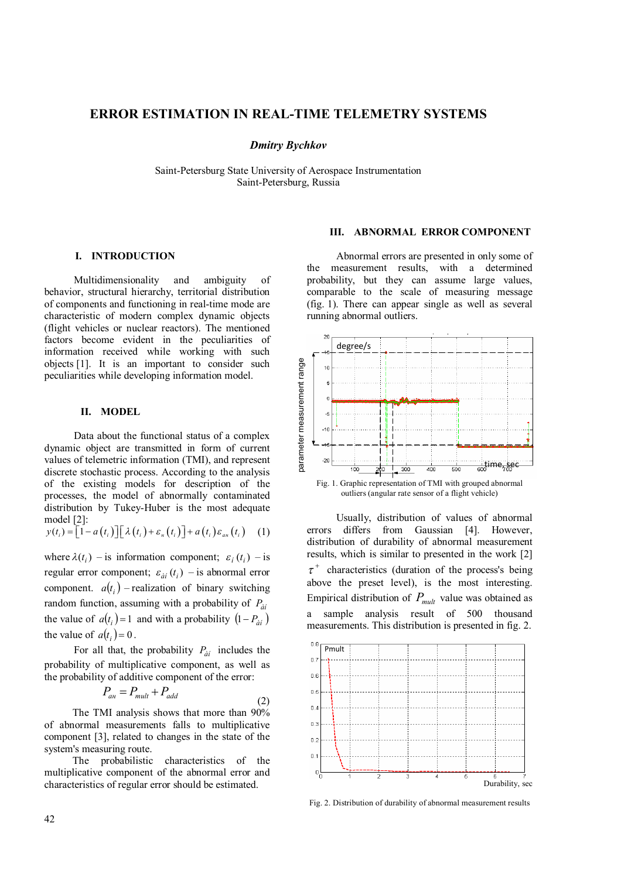# **ERROR ESTIMATION IN REAL-TIME TELEMETRY SYSTEMS**

# *Dmitry Bychkov*

Saint-Petersburg State University of Aerospace Instrumentation Saint-Petersburg, Russia

# **I. INTRODUCTION**

Multidimensionality and ambiguity of behavior, structural hierarchy, territorial distribution of components and functioning in real-time mode are characteristic of modern complex dynamic objects (flight vehicles or nuclear reactors). The mentioned factors become evident in the peculiarities of information received while working with such objects [1]. It is an important to consider such peculiarities while developing information model.

#### **II. MODEL**

Data about the functional status of a complex dynamic object are transmitted in form of current values of telemetric information (TMI), and represent discrete stochastic process. According to the analysis of the existing models for description of the processes, the model of abnormally contaminated distribution by Tukey-Huber is the most adequate model [2]:

$$
y(t_i) = \left[1 - a(t_i)\right] \left[\lambda(t_i) + \varepsilon_n(t_i)\right] + a(t_i)\varepsilon_{an}(t_i) \quad (1)
$$

where  $\lambda(t_i)$  – is information component;  $\varepsilon_i(t_i)$  – is regular error component;  $\varepsilon_{\dot{a}i}$  ( $t_i$ ) – is abnormal error component.  $a(t_i)$  – realization of binary switching random function, assuming with a probability of *Pàí* the value of  $a(t_i) = 1$  and with a probability  $(1 - P_{\hat{a}i})$ the value of  $a(t_i) = 0$ .

For all that, the probability  $P_{\dot{a}i}$  includes the probability of multiplicative component, as well as the probability of additive component of the error:

$$
P_{\text{an}} = P_{\text{mult}} + P_{\text{add}} \tag{2}
$$

The TMI analysis shows that more than 90% of abnormal measurements falls to multiplicative component [3], related to changes in the state of the system's measuring route.

The probabilistic characteristics of the multiplicative component of the abnormal error and characteristics of regular error should be estimated.

## **III. ABNORMAL ERROR COMPONENT**

Abnormal errors are presented in only some of the measurement results, with a determined probability, but they can assume large values, comparable to the scale of measuring message (fig. 1). There can appear single as well as several running abnormal outliers.



Usually, distribution of values of abnormal errors differs from Gaussian [4]. However, distribution of durability of abnormal measurement results, which is similar to presented in the work [2]  $\tau^+$  characteristics (duration of the process's being above the preset level), is the most interesting. Empirical distribution of  $P_{mult}$  value was obtained as a sample analysis result of 500 thousand measurements. This distribution is presented in fig. 2.



Fig. 2. Distribution of durability of abnormal measurement results